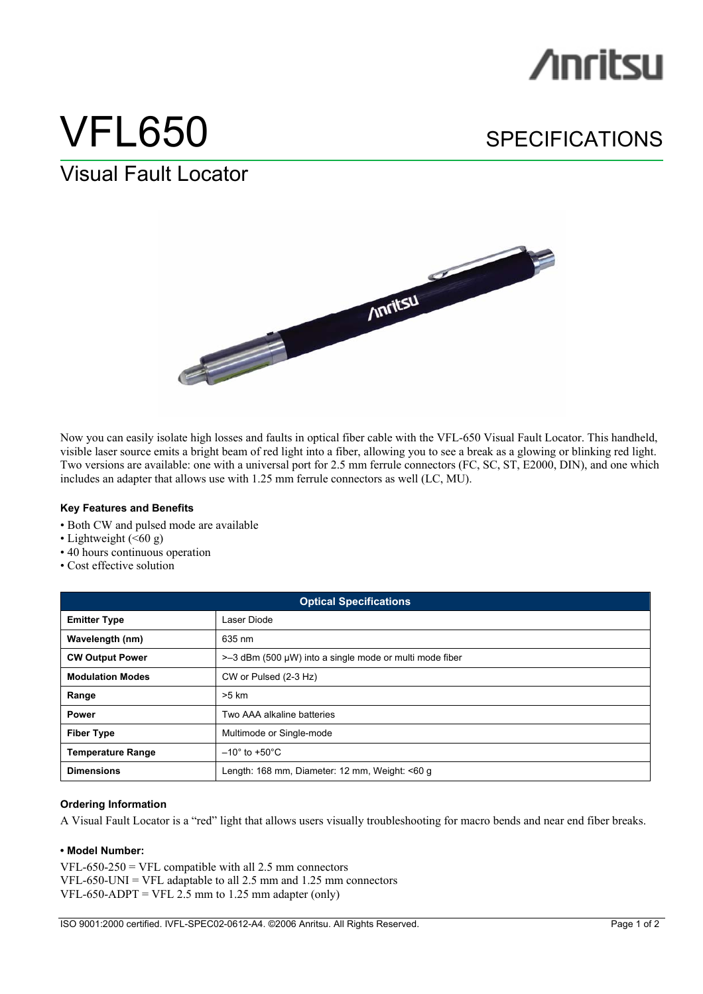## **/inritsu**

# VFL650 SPECIFICATIONS

### Visual Fault Locator



Now you can easily isolate high losses and faults in optical fiber cable with the VFL-650 Visual Fault Locator. This handheld, visible laser source emits a bright beam of red light into a fiber, allowing you to see a break as a glowing or blinking red light. Two versions are available: one with a universal port for 2.5 mm ferrule connectors (FC, SC, ST, E2000, DIN), and one which includes an adapter that allows use with 1.25 mm ferrule connectors as well (LC, MU).

#### **Key Features and Benefits**

- Both CW and pulsed mode are available
- Lightweight  $( $60 \text{ g}$ )$
- 40 hours continuous operation
- Cost effective solution

| <b>Optical Specifications</b> |                                                                  |
|-------------------------------|------------------------------------------------------------------|
| <b>Emitter Type</b>           | Laser Diode                                                      |
| Wavelength (nm)               | 635 nm                                                           |
| <b>CW Output Power</b>        | $\approx$ -3 dBm (500 µW) into a single mode or multi mode fiber |
| <b>Modulation Modes</b>       | CW or Pulsed (2-3 Hz)                                            |
| Range                         | $>5$ km                                                          |
| <b>Power</b>                  | Two AAA alkaline batteries                                       |
| <b>Fiber Type</b>             | Multimode or Single-mode                                         |
| <b>Temperature Range</b>      | $-10^{\circ}$ to +50 $^{\circ}$ C                                |
| <b>Dimensions</b>             | Length: 168 mm, Diameter: 12 mm, Weight: <60 g                   |

#### **Ordering Information**

A Visual Fault Locator is a "red" light that allows users visually troubleshooting for macro bends and near end fiber breaks.

#### **• Model Number:**

VFL-650-250 = VFL compatible with all  $2.5$  mm connectors  $VFL-650-UNI = VFL$  adaptable to all 2.5 mm and 1.25 mm connectors  $VFL-650-ADPT = VFL 2.5$  mm to 1.25 mm adapter (only)

ISO 9001:2000 certified. IVFL-SPEC02-0612-A4. ©2006 Anritsu. All Rights Reserved. Page 1 of 2